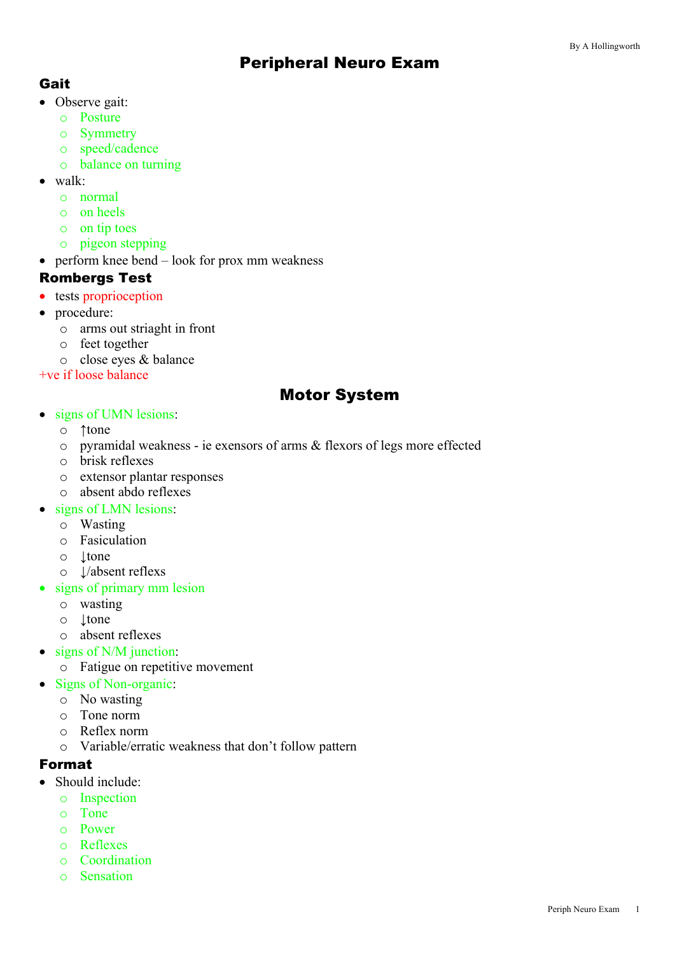# Peripheral Neuro Exam

## Gait

- Observe gait:
	- o Posture
	- o Symmetry
	- o speed/cadence
	- o balance on turning
- walk:
	- o normal
	- o on heels
	- o on tip toes
	- o pigeon stepping
- perform knee bend look for prox mm weakness

#### Rombergs Test

- tests proprioception
- procedure:
	- o arms out striaght in front
	- o feet together
	- o close eyes & balance

+ve if loose balance

# Motor System

- signs of UMN lesions:
	- o ↑tone
	- o pyramidal weakness ie exensors of arms & flexors of legs more effected
	- o brisk reflexes
	- o extensor plantar responses
	- o absent abdo reflexes
- signs of LMN lesions:
	- o Wasting
	- o Fasiculation
	- o ↓tone
	- o ↓/absent reflexs
- signs of primary mm lesion
	- o wasting
	- o ↓tone
	- o absent reflexes
- signs of N/M junction:
	- o Fatigue on repetitive movement
- Signs of Non-organic:
	- o No wasting
	- o Tone norm
	- o Reflex norm
	- o Variable/erratic weakness that don't follow pattern

#### Format

- Should include:
	- o Inspection
	- o Tone
	- o Power
	- o Reflexes
	- o Coordination
	- o Sensation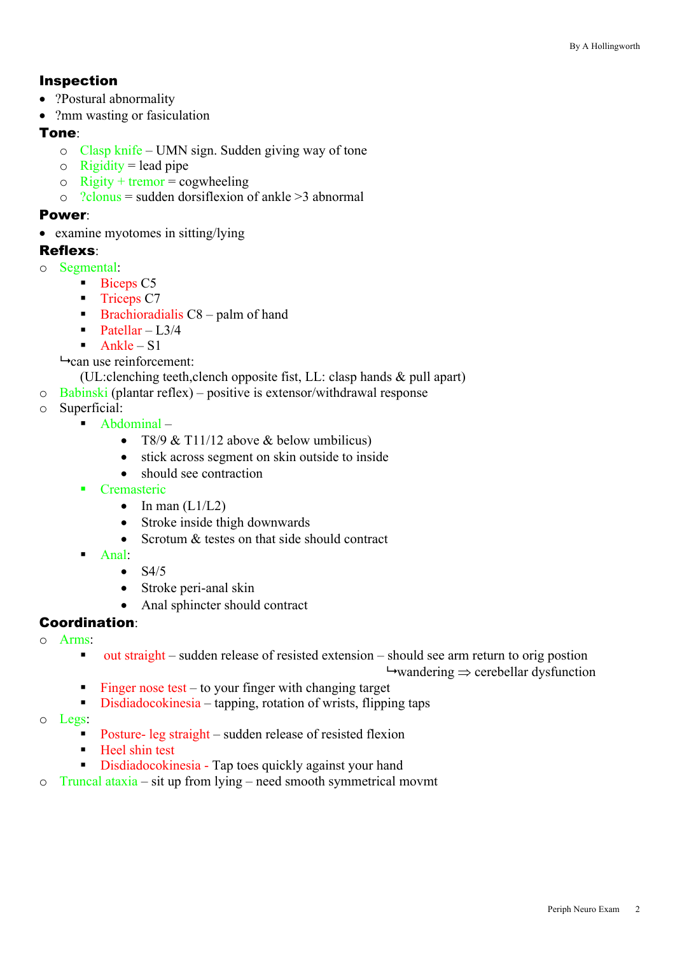## Inspection

- ?Postural abnormality
- ?mm wasting or fasiculation

## Tone:

- o Clasp knife UMN sign. Sudden giving way of tone
- $\circ$  Rigidity = lead pipe
- $\circ$  Rigity + tremor = cogwheeling
- $\circ$  ?clonus = sudden dorsiflexion of ankle >3 abnormal

#### Power:

• examine myotomes in sitting/lying

### Reflexs:

- o Segmental:
	- Biceps C5
	- Triceps C7
	- $\blacksquare$  Brachioradialis C8 palm of hand
	- Patellar  $L3/4$
	- $\blacksquare$  Ankle S1

 $\rightarrow$  can use reinforcement:

- (UL:clenching teeth,clench opposite fist, LL: clasp hands & pull apart)
- o Babinski (plantar reflex) positive is extensor/withdrawal response
- o Superficial:
	- Abdominal
		- T8/9 & T11/12 above & below umbilicus)
		- stick across segment on skin outside to inside
		- should see contraction
	- **Cremasteric** 
		- In man  $(L1/L2)$
		- Stroke inside thigh downwards
		- Scrotum & testes on that side should contract
	- § Anal:
		- $\bullet$  S4/5
			- Stroke peri-anal skin
			- Anal sphincter should contract

# Coordination:

- o Arms:
	- out straight sudden release of resisted extension should see arm return to orig postion

 $\rightarrow$  wandering  $\rightarrow$  cerebellar dysfunction

- Finger nose test to your finger with changing target
- Disdiadocokinesia tapping, rotation of wrists, flipping taps
- o Legs:
	- Posture- leg straight sudden release of resisted flexion
	- Heel shin test
	- Disdiadocokinesia Tap toes quickly against your hand
- o Truncal ataxia sit up from lying need smooth symmetrical movmt